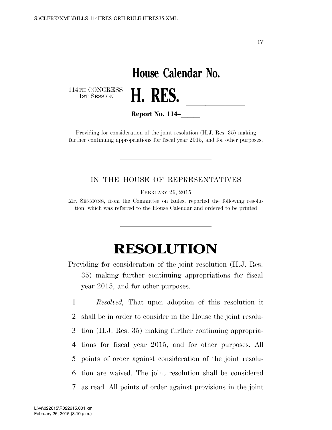IV

## House Calendar No.<br>**H. RES.**

114TH CONGRESS<br>1st Session



**Report No. 114–** 

Providing for consideration of the joint resolution (H.J. Res. 35) making further continuing appropriations for fiscal year 2015, and for other purposes.

## IN THE HOUSE OF REPRESENTATIVES

FEBRUARY 26, 2015

Mr. SESSIONS, from the Committee on Rules, reported the following resolution; which was referred to the House Calendar and ordered to be printed

## **RESOLUTION**

Providing for consideration of the joint resolution (H.J. Res. 35) making further continuing appropriations for fiscal year 2015, and for other purposes.

 *Resolved,* That upon adoption of this resolution it shall be in order to consider in the House the joint resolu- tion (H.J. Res. 35) making further continuing appropria- tions for fiscal year 2015, and for other purposes. All points of order against consideration of the joint resolu- tion are waived. The joint resolution shall be considered as read. All points of order against provisions in the joint